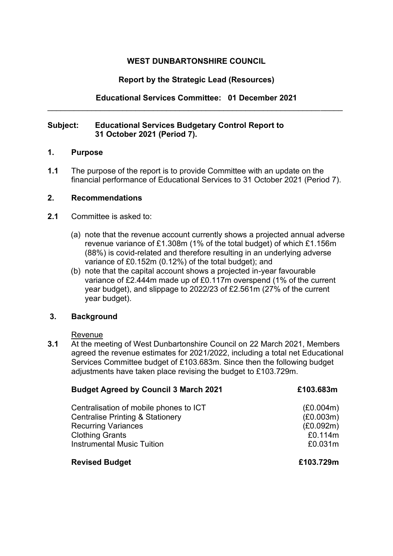## **WEST DUNBARTONSHIRE COUNCIL**

### **Report by the Strategic Lead (Resources)**

**Educational Services Committee: 01 December 2021**  \_\_\_\_\_\_\_\_\_\_\_\_\_\_\_\_\_\_\_\_\_\_\_\_\_\_\_\_\_\_\_\_\_\_\_\_\_\_\_\_\_\_\_\_\_\_\_\_\_\_\_\_\_\_\_\_\_\_\_\_\_\_\_\_\_\_\_

### **Subject: Educational Services Budgetary Control Report to 31 October 2021 (Period 7).**

#### **1. Purpose**

**1.1** The purpose of the report is to provide Committee with an update on the financial performance of Educational Services to 31 October 2021 (Period 7).

#### **2. Recommendations**

- **2.1** Committee is asked to:
	- (a) note that the revenue account currently shows a projected annual adverse revenue variance of £1.308m (1% of the total budget) of which £1.156m (88%) is covid-related and therefore resulting in an underlying adverse variance of £0.152m (0.12%) of the total budget); and
	- (b) note that the capital account shows a projected in-year favourable variance of £2.444m made up of £0.117m overspend (1% of the current year budget), and slippage to 2022/23 of £2.561m (27% of the current year budget).

### **3. Background**

Revenue

**3.1** At the meeting of West Dunbartonshire Council on 22 March 2021, Members agreed the revenue estimates for 2021/2022, including a total net Educational Services Committee budget of £103.683m. Since then the following budget adjustments have taken place revising the budget to £103.729m.

| <b>Budget Agreed by Council 3 March 2021</b> | £103.683m |
|----------------------------------------------|-----------|
| Centralisation of mobile phones to ICT       | (E0.004m) |
| <b>Centralise Printing &amp; Stationery</b>  | (E0.003m) |
| <b>Recurring Variances</b>                   | (E0.092m) |
| <b>Clothing Grants</b>                       | £0.114m   |
| <b>Instrumental Music Tuition</b>            | £0.031m   |
| <b>Revised Budget</b>                        | £103.729m |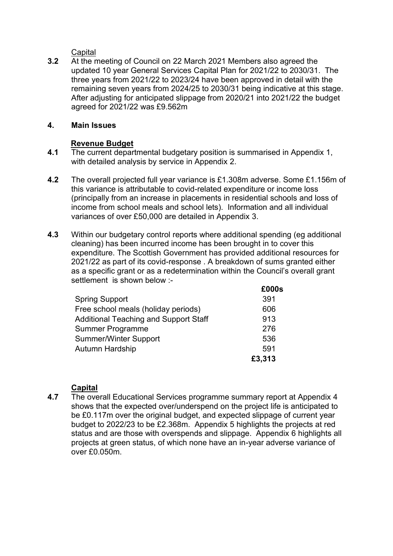**Capital** 

**3.2** At the meeting of Council on 22 March 2021 Members also agreed the updated 10 year General Services Capital Plan for 2021/22 to 2030/31. The three years from 2021/22 to 2023/24 have been approved in detail with the remaining seven years from 2024/25 to 2030/31 being indicative at this stage. After adjusting for anticipated slippage from 2020/21 into 2021/22 the budget agreed for 2021/22 was £9.562m

### **4. Main Issues**

# **Revenue Budget**

- **4.1** The current departmental budgetary position is summarised in Appendix 1, with detailed analysis by service in Appendix 2.
- **4.2** The overall projected full year variance is £1.308m adverse. Some £1.156m of this variance is attributable to covid-related expenditure or income loss (principally from an increase in placements in residential schools and loss of income from school meals and school lets). Information and all individual variances of over £50,000 are detailed in Appendix 3.
- **4.3** Within our budgetary control reports where additional spending (eg additional cleaning) has been incurred income has been brought in to cover this expenditure. The Scottish Government has provided additional resources for 2021/22 as part of its covid-response . A breakdown of sums granted either as a specific grant or as a redetermination within the Council's overall grant settlement is shown below :-

|                                              | £000s  |
|----------------------------------------------|--------|
| <b>Spring Support</b>                        | 391    |
| Free school meals (holiday periods)          | 606    |
| <b>Additional Teaching and Support Staff</b> | 913    |
| <b>Summer Programme</b>                      | 276    |
| <b>Summer/Winter Support</b>                 | 536    |
| Autumn Hardship                              | 591    |
|                                              | £3,313 |

# **Capital**

**4.7** The overall Educational Services programme summary report at Appendix 4 shows that the expected over/underspend on the project life is anticipated to be £0.117m over the original budget, and expected slippage of current year budget to 2022/23 to be £2.368m. Appendix 5 highlights the projects at red status and are those with overspends and slippage. Appendix 6 highlights all projects at green status, of which none have an in-year adverse variance of over £0.050m.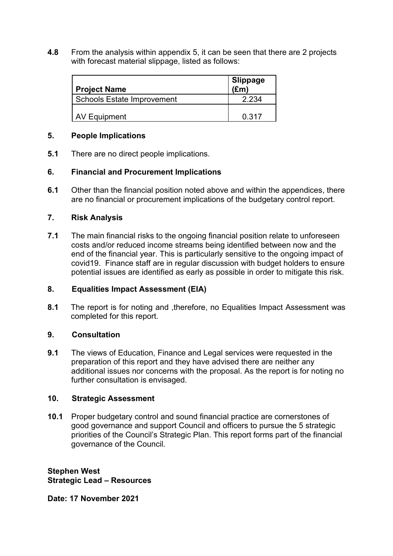**4.8** From the analysis within appendix 5, it can be seen that there are 2 projects with forecast material slippage, listed as follows:

| <b>Project Name</b>               | <b>Slippage</b><br>$(\mathbf{f}$ m |
|-----------------------------------|------------------------------------|
| <b>Schools Estate Improvement</b> | 2 234                              |
| AV Equipment                      | 0.317                              |

### **5. People Implications**

**5.1** There are no direct people implications.

# **6. Financial and Procurement Implications**

**6.1** Other than the financial position noted above and within the appendices, there are no financial or procurement implications of the budgetary control report.

### **7. Risk Analysis**

**7.1** The main financial risks to the ongoing financial position relate to unforeseen costs and/or reduced income streams being identified between now and the end of the financial year. This is particularly sensitive to the ongoing impact of covid19. Finance staff are in regular discussion with budget holders to ensure potential issues are identified as early as possible in order to mitigate this risk.

### **8. Equalities Impact Assessment (EIA)**

**8.1** The report is for noting and ,therefore, no Equalities Impact Assessment was completed for this report.

# **9. Consultation**

**9.1** The views of Education, Finance and Legal services were requested in the preparation of this report and they have advised there are neither any additional issues nor concerns with the proposal. As the report is for noting no further consultation is envisaged.

### **10. Strategic Assessment**

**10.1** Proper budgetary control and sound financial practice are cornerstones of good governance and support Council and officers to pursue the 5 strategic priorities of the Council's Strategic Plan. This report forms part of the financial governance of the Council.

**Stephen West Strategic Lead – Resources**

**Date: 17 November 2021**